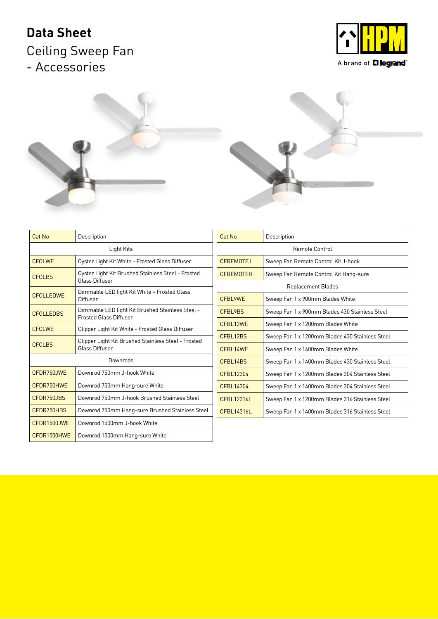## **Data Sheet**

Ceiling Sweep Fan - Accessories





A brand of **LI legrand**®



| Cat No           | Description                                                                       |  |  |
|------------------|-----------------------------------------------------------------------------------|--|--|
| Light Kits       |                                                                                   |  |  |
| <b>CFOLWE</b>    | Oyster Light Kit White - Frosted Glass Diffuser                                   |  |  |
| <b>CFOLBS</b>    | Oyster Light Kit Brushed Stainless Steel - Frosted<br>Glass Diffuser              |  |  |
| <b>CFOLLEDWE</b> | Dimmable LED light Kit White + Frosted Glass<br>Diffuser                          |  |  |
| <b>CFOLLEDBS</b> | Dimmable LED light Kit Brushed Stainless Steel -<br><b>Frosted Glass Diffuser</b> |  |  |
| <b>CECI WE</b>   | Clipper Light Kit White - Frosted Glass Diffuser                                  |  |  |
| <b>CFCLBS</b>    | Clipper Light Kit Brushed Stainless Steel - Frosted<br><b>Glass Diffuser</b>      |  |  |
| Downrods         |                                                                                   |  |  |
| CEDR750 JWF      | Downrod 750mm J-hook White                                                        |  |  |
| CFDR750HWE       | Downrod 750mm Hang-sure White                                                     |  |  |
| CFDR750JBS       | Downrod 750mm J-hook Brushed Stainless Steel                                      |  |  |
| CEDR750HBS       | Downrod 750mm Hang-sure Brushed Stainless Steel                                   |  |  |
| CEDR1500 JWF     | Downrod 1500mm J-hook White                                                       |  |  |
| CFDR1500HWE      | Downrod 1500mm Hang-sure White                                                    |  |  |

| Cat No                    | Description                                     |  |  |  |
|---------------------------|-------------------------------------------------|--|--|--|
| Remote Control            |                                                 |  |  |  |
| <b>CFREMOTEJ</b>          | Sweep Fan Remote Control Kit J-hook             |  |  |  |
| <b>CFREMOTEH</b>          | Sweep Fan Remote Control Kit Hang-sure          |  |  |  |
| <b>Replacement Blades</b> |                                                 |  |  |  |
| CFBL9WE                   | Sweep Fan 1 x 900mm Blades White                |  |  |  |
| CFBI 9BS                  | Sweep Fan 1 x 900mm Blades 430 Stainless Steel  |  |  |  |
| CFBL12WE                  | Sweep Fan 1 x 1200mm Blades White               |  |  |  |
| CFBI 12BS                 | Sweep Fan 1 x 1200mm Blades 430 Stainless Steel |  |  |  |
| CFBL14WE                  | Sweep Fan 1 x 1400mm Blades White               |  |  |  |
| CFBI 14BS                 | Sweep Fan 1 x 1400mm Blades 430 Stainless Steel |  |  |  |
| CFBL12304                 | Sweep Fan 1 x 1200mm Blades 304 Stainless Steel |  |  |  |
| CFBI 14304                | Sweep Fan 1 x 1400mm Blades 304 Stainless Steel |  |  |  |
| CFBI 12316L               | Sweep Fan 1 x 1200mm Blades 316 Stainless Steel |  |  |  |
| CFBI 14316L               | Sweep Fan 1 x 1400mm Blades 316 Stainless Steel |  |  |  |